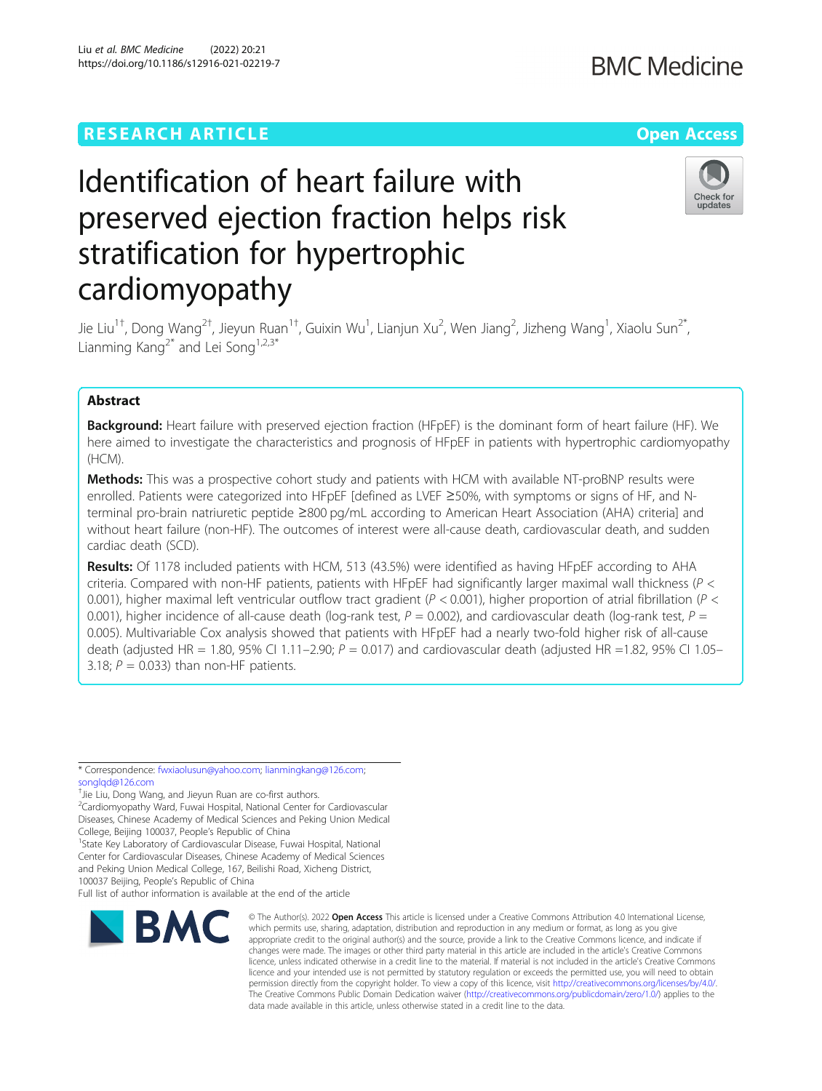# Liu et al. BMC Medicine (2022) 20:21 https://doi.org/10.1186/s12916-021-02219-7

# Identification of heart failure with preserved ejection fraction helps risk stratification for hypertrophic cardiomyopathy

Jie Liu<sup>1†</sup>, Dong Wang<sup>2†</sup>, Jieyun Ruan<sup>1†</sup>, Guixin Wu<sup>1</sup>, Lianjun Xu<sup>2</sup>, Wen Jiang<sup>2</sup>, Jizheng Wang<sup>1</sup>, Xiaolu Sun<sup>2\*</sup>, Lianming Kang<sup>2\*</sup> and Lei Song<sup>1,2,3\*</sup>

# Abstract

Background: Heart failure with preserved ejection fraction (HFpEF) is the dominant form of heart failure (HF). We here aimed to investigate the characteristics and prognosis of HFpEF in patients with hypertrophic cardiomyopathy (HCM).

Methods: This was a prospective cohort study and patients with HCM with available NT-proBNP results were enrolled. Patients were categorized into HFpEF [defined as LVEF ≥50%, with symptoms or signs of HF, and Nterminal pro-brain natriuretic peptide ≥800 pg/mL according to American Heart Association (AHA) criteria] and without heart failure (non-HF). The outcomes of interest were all-cause death, cardiovascular death, and sudden cardiac death (SCD).

Results: Of 1178 included patients with HCM, 513 (43.5%) were identified as having HFpEF according to AHA criteria. Compared with non-HF patients, patients with HFpEF had significantly larger maximal wall thickness ( $P <$ 0.001), higher maximal left ventricular outflow tract gradient ( $P < 0.001$ ), higher proportion of atrial fibrillation ( $P < 0.001$ ) 0.001), higher incidence of all-cause death (log-rank test,  $P = 0.002$ ), and cardiovascular death (log-rank test,  $P =$ 0.005). Multivariable Cox analysis showed that patients with HFpEF had a nearly two-fold higher risk of all-cause death (adjusted HR = 1.80, 95% CI 1.11–2.90;  $P = 0.017$ ) and cardiovascular death (adjusted HR = 1.82, 95% CI 1.05– 3.18;  $P = 0.033$ ) than non-HF patients.

\* Correspondence: [fwxiaolusun@yahoo.com;](mailto:fwxiaolusun@yahoo.com) [lianmingkang@126.com;](mailto:lianmingkang@126.com) [songlqd@126.com](mailto:songlqd@126.com)

- † Jie Liu, Dong Wang, and Jieyun Ruan are co-first authors.
- <sup>2</sup>Cardiomyopathy Ward, Fuwai Hospital, National Center for Cardiovascular

Diseases, Chinese Academy of Medical Sciences and Peking Union Medical

College, Beijing 100037, People's Republic of China <sup>1</sup> <sup>1</sup> State Key Laboratory of Cardiovascular Disease, Fuwai Hospital, National Center for Cardiovascular Diseases, Chinese Academy of Medical Sciences and Peking Union Medical College, 167, Beilishi Road, Xicheng District,

100037 Beijing, People's Republic of China

Full list of author information is available at the end of the article





**BMC Medicine** 

<sup>©</sup> The Author(s), 2022 **Open Access** This article is licensed under a Creative Commons Attribution 4.0 International License, which permits use, sharing, adaptation, distribution and reproduction in any medium or format, as long as you give appropriate credit to the original author(s) and the source, provide a link to the Creative Commons licence, and indicate if changes were made. The images or other third party material in this article are included in the article's Creative Commons licence, unless indicated otherwise in a credit line to the material. If material is not included in the article's Creative Commons licence and your intended use is not permitted by statutory regulation or exceeds the permitted use, you will need to obtain permission directly from the copyright holder. To view a copy of this licence, visit [http://creativecommons.org/licenses/by/4.0/.](http://creativecommons.org/licenses/by/4.0/) The Creative Commons Public Domain Dedication waiver [\(http://creativecommons.org/publicdomain/zero/1.0/](http://creativecommons.org/publicdomain/zero/1.0/)) applies to the data made available in this article, unless otherwise stated in a credit line to the data.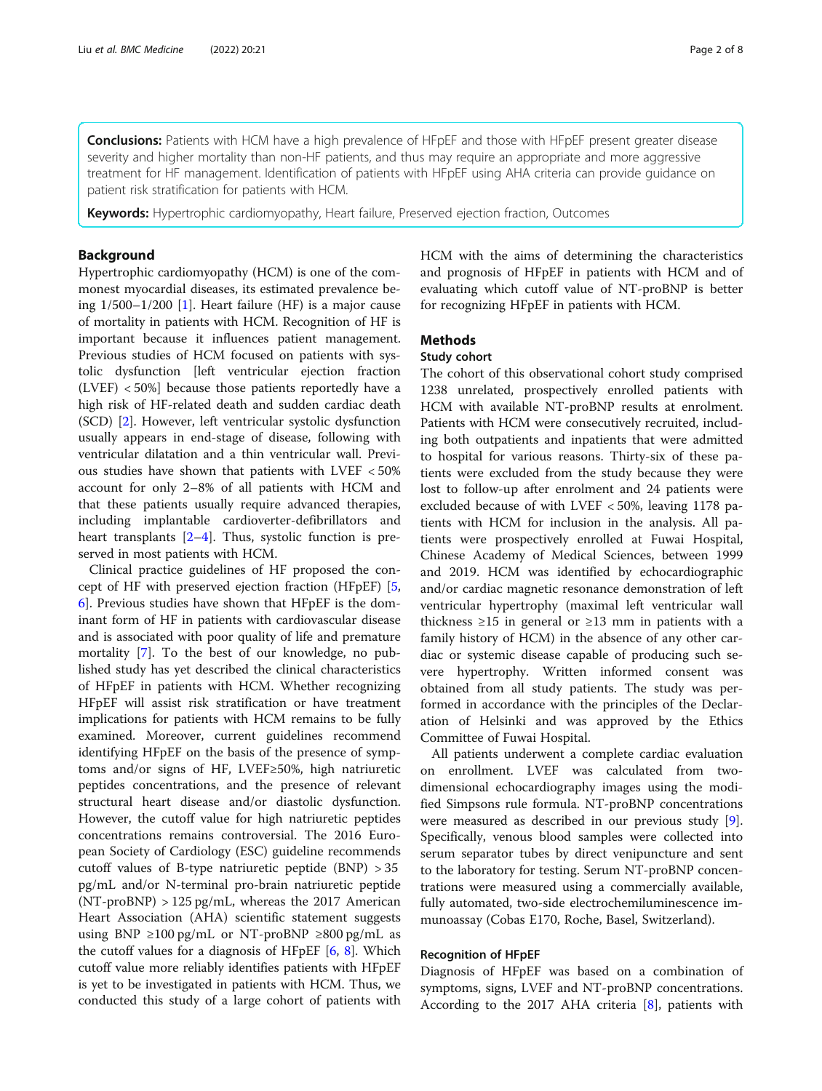Conclusions: Patients with HCM have a high prevalence of HFpEF and those with HFpEF present greater disease severity and higher mortality than non-HF patients, and thus may require an appropriate and more aggressive treatment for HF management. Identification of patients with HFpEF using AHA criteria can provide guidance on patient risk stratification for patients with HCM.

**Keywords:** Hypertrophic cardiomyopathy, Heart failure, Preserved ejection fraction, Outcomes

# Background

Hypertrophic cardiomyopathy (HCM) is one of the commonest myocardial diseases, its estimated prevalence being  $1/500-1/200$  [[1\]](#page-7-0). Heart failure (HF) is a major cause of mortality in patients with HCM. Recognition of HF is important because it influences patient management. Previous studies of HCM focused on patients with systolic dysfunction [left ventricular ejection fraction (LVEF) < 50%] because those patients reportedly have a high risk of HF-related death and sudden cardiac death (SCD) [[2\]](#page-7-0). However, left ventricular systolic dysfunction usually appears in end-stage of disease, following with ventricular dilatation and a thin ventricular wall. Previous studies have shown that patients with LVEF < 50% account for only 2–8% of all patients with HCM and that these patients usually require advanced therapies, including implantable cardioverter-defibrillators and heart transplants  $[2-4]$  $[2-4]$  $[2-4]$  $[2-4]$ . Thus, systolic function is preserved in most patients with HCM.

Clinical practice guidelines of HF proposed the concept of HF with preserved ejection fraction (HFpEF) [\[5](#page-7-0), [6\]](#page-7-0). Previous studies have shown that HFpEF is the dominant form of HF in patients with cardiovascular disease and is associated with poor quality of life and premature mortality [\[7\]](#page-7-0). To the best of our knowledge, no published study has yet described the clinical characteristics of HFpEF in patients with HCM. Whether recognizing HFpEF will assist risk stratification or have treatment implications for patients with HCM remains to be fully examined. Moreover, current guidelines recommend identifying HFpEF on the basis of the presence of symptoms and/or signs of HF, LVEF≥50%, high natriuretic peptides concentrations, and the presence of relevant structural heart disease and/or diastolic dysfunction. However, the cutoff value for high natriuretic peptides concentrations remains controversial. The 2016 European Society of Cardiology (ESC) guideline recommends cutoff values of B-type natriuretic peptide  $(BNP) > 35$ pg/mL and/or N-terminal pro-brain natriuretic peptide (NT-proBNP) > 125 pg/mL, whereas the 2017 American Heart Association (AHA) scientific statement suggests using BNP ≥100 pg/mL or NT-proBNP ≥800 pg/mL as the cutoff values for a diagnosis of HFpEF [[6,](#page-7-0) [8](#page-7-0)]. Which cutoff value more reliably identifies patients with HFpEF is yet to be investigated in patients with HCM. Thus, we conducted this study of a large cohort of patients with

HCM with the aims of determining the characteristics and prognosis of HFpEF in patients with HCM and of evaluating which cutoff value of NT-proBNP is better for recognizing HFpEF in patients with HCM.

# Methods

#### Study cohort

The cohort of this observational cohort study comprised 1238 unrelated, prospectively enrolled patients with HCM with available NT-proBNP results at enrolment. Patients with HCM were consecutively recruited, including both outpatients and inpatients that were admitted to hospital for various reasons. Thirty-six of these patients were excluded from the study because they were lost to follow-up after enrolment and 24 patients were excluded because of with LVEF < 50%, leaving 1178 patients with HCM for inclusion in the analysis. All patients were prospectively enrolled at Fuwai Hospital, Chinese Academy of Medical Sciences, between 1999 and 2019. HCM was identified by echocardiographic and/or cardiac magnetic resonance demonstration of left ventricular hypertrophy (maximal left ventricular wall thickness ≥15 in general or ≥13 mm in patients with a family history of HCM) in the absence of any other cardiac or systemic disease capable of producing such severe hypertrophy. Written informed consent was obtained from all study patients. The study was performed in accordance with the principles of the Declaration of Helsinki and was approved by the Ethics Committee of Fuwai Hospital.

All patients underwent a complete cardiac evaluation on enrollment. LVEF was calculated from twodimensional echocardiography images using the modified Simpsons rule formula. NT-proBNP concentrations were measured as described in our previous study [\[9](#page-7-0)]. Specifically, venous blood samples were collected into serum separator tubes by direct venipuncture and sent to the laboratory for testing. Serum NT-proBNP concentrations were measured using a commercially available, fully automated, two-side electrochemiluminescence immunoassay (Cobas E170, Roche, Basel, Switzerland).

# Recognition of HFpEF

Diagnosis of HFpEF was based on a combination of symptoms, signs, LVEF and NT-proBNP concentrations. According to the 2017 AHA criteria [\[8](#page-7-0)], patients with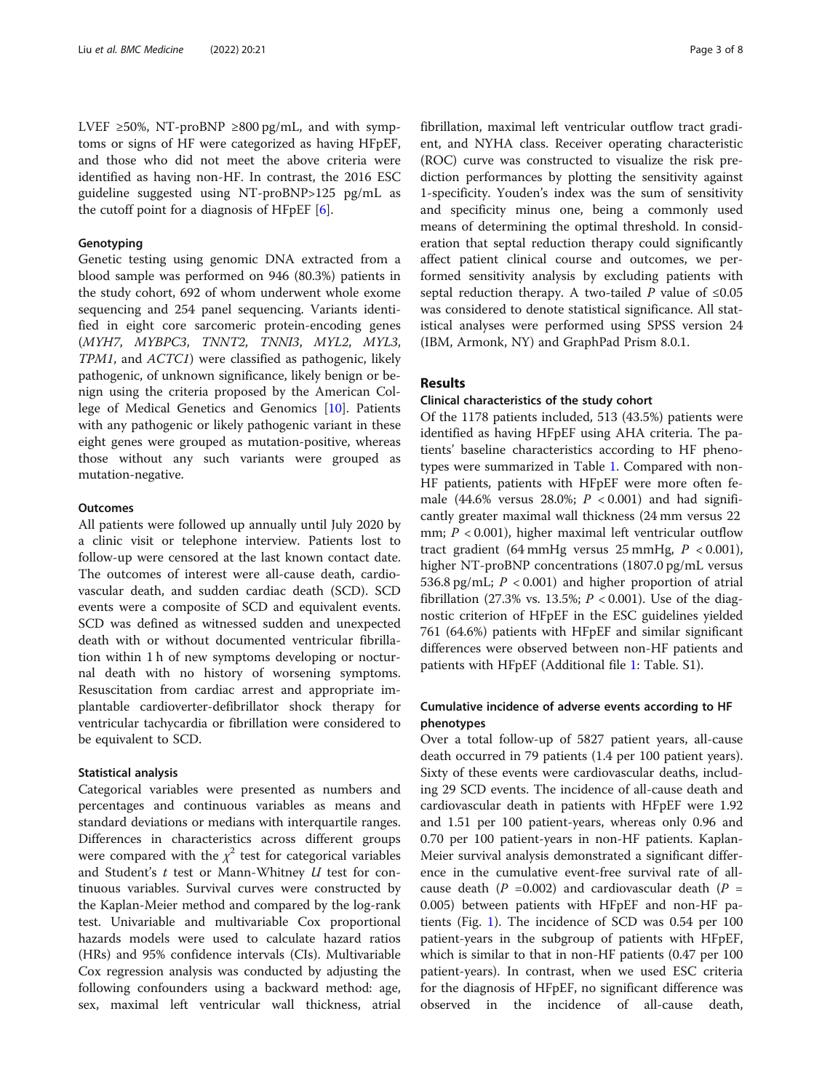LVEF ≥50%, NT-proBNP ≥800 pg/mL, and with symptoms or signs of HF were categorized as having HFpEF, and those who did not meet the above criteria were identified as having non-HF. In contrast, the 2016 ESC guideline suggested using NT-proBNP>125 pg/mL as the cutoff point for a diagnosis of HFpEF  $[6]$  $[6]$  $[6]$ .

# **Genotyping**

Genetic testing using genomic DNA extracted from a blood sample was performed on 946 (80.3%) patients in the study cohort, 692 of whom underwent whole exome sequencing and 254 panel sequencing. Variants identified in eight core sarcomeric protein-encoding genes (MYH7, MYBPC3, TNNT2, TNNI3, MYL2, MYL3, TPM1, and ACTC1) were classified as pathogenic, likely pathogenic, of unknown significance, likely benign or benign using the criteria proposed by the American College of Medical Genetics and Genomics [[10\]](#page-7-0). Patients with any pathogenic or likely pathogenic variant in these eight genes were grouped as mutation-positive, whereas those without any such variants were grouped as mutation-negative.

### **Outcomes**

All patients were followed up annually until July 2020 by a clinic visit or telephone interview. Patients lost to follow-up were censored at the last known contact date. The outcomes of interest were all-cause death, cardiovascular death, and sudden cardiac death (SCD). SCD events were a composite of SCD and equivalent events. SCD was defined as witnessed sudden and unexpected death with or without documented ventricular fibrillation within 1 h of new symptoms developing or nocturnal death with no history of worsening symptoms. Resuscitation from cardiac arrest and appropriate implantable cardioverter-defibrillator shock therapy for ventricular tachycardia or fibrillation were considered to be equivalent to SCD.

# Statistical analysis

Categorical variables were presented as numbers and percentages and continuous variables as means and standard deviations or medians with interquartile ranges. Differences in characteristics across different groups were compared with the  $\chi^2$  test for categorical variables and Student's  $t$  test or Mann-Whitney  $U$  test for continuous variables. Survival curves were constructed by the Kaplan-Meier method and compared by the log-rank test. Univariable and multivariable Cox proportional hazards models were used to calculate hazard ratios (HRs) and 95% confidence intervals (CIs). Multivariable Cox regression analysis was conducted by adjusting the following confounders using a backward method: age, sex, maximal left ventricular wall thickness, atrial fibrillation, maximal left ventricular outflow tract gradient, and NYHA class. Receiver operating characteristic (ROC) curve was constructed to visualize the risk prediction performances by plotting the sensitivity against 1-specificity. Youden's index was the sum of sensitivity and specificity minus one, being a commonly used means of determining the optimal threshold. In consideration that septal reduction therapy could significantly affect patient clinical course and outcomes, we performed sensitivity analysis by excluding patients with septal reduction therapy. A two-tailed P value of  $\leq 0.05$ was considered to denote statistical significance. All statistical analyses were performed using SPSS version 24 (IBM, Armonk, NY) and GraphPad Prism 8.0.1.

# Results

# Clinical characteristics of the study cohort

Of the 1178 patients included, 513 (43.5%) patients were identified as having HFpEF using AHA criteria. The patients' baseline characteristics according to HF phenotypes were summarized in Table [1.](#page-3-0) Compared with non-HF patients, patients with HFpEF were more often female (44.6% versus 28.0%;  $P < 0.001$ ) and had significantly greater maximal wall thickness (24 mm versus 22 mm;  $P < 0.001$ ), higher maximal left ventricular outflow tract gradient (64 mmHg versus  $25$  mmHg,  $P < 0.001$ ), higher NT-proBNP concentrations (1807.0 pg/mL versus 536.8 pg/mL;  $P < 0.001$ ) and higher proportion of atrial fibrillation (27.3% vs. 13.5%;  $P < 0.001$ ). Use of the diagnostic criterion of HFpEF in the ESC guidelines yielded 761 (64.6%) patients with HFpEF and similar significant differences were observed between non-HF patients and patients with HFpEF (Additional file [1:](#page-7-0) Table. S1).

# Cumulative incidence of adverse events according to HF phenotypes

Over a total follow-up of 5827 patient years, all-cause death occurred in 79 patients (1.4 per 100 patient years). Sixty of these events were cardiovascular deaths, including 29 SCD events. The incidence of all-cause death and cardiovascular death in patients with HFpEF were 1.92 and 1.51 per 100 patient-years, whereas only 0.96 and 0.70 per 100 patient-years in non-HF patients. Kaplan-Meier survival analysis demonstrated a significant difference in the cumulative event-free survival rate of allcause death ( $P = 0.002$ ) and cardiovascular death ( $P =$ 0.005) between patients with HFpEF and non-HF patients (Fig. [1](#page-3-0)). The incidence of SCD was 0.54 per 100 patient-years in the subgroup of patients with HFpEF, which is similar to that in non-HF patients (0.47 per 100 patient-years). In contrast, when we used ESC criteria for the diagnosis of HFpEF, no significant difference was observed in the incidence of all-cause death,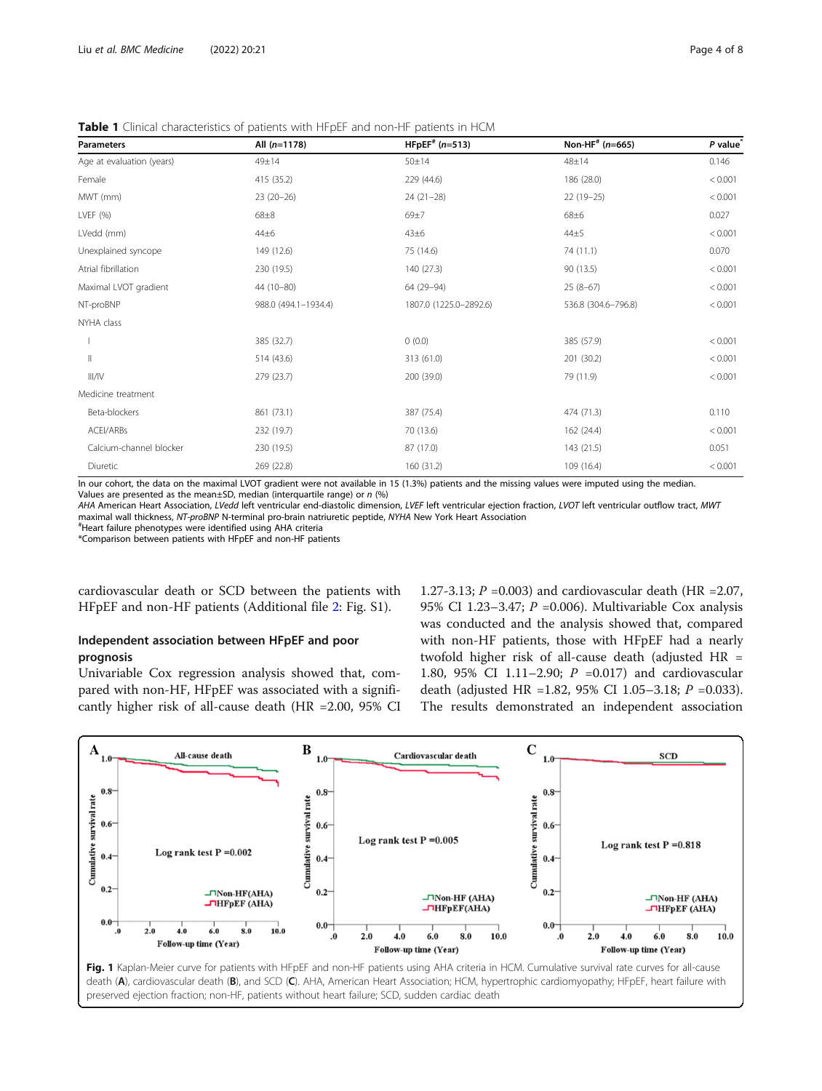| <b>Parameters</b>         | All $(n=1178)$       | $H F p EF^* (n=513)$   | Non-HF <sup>#</sup> ( $n=665$ ) | P value |
|---------------------------|----------------------|------------------------|---------------------------------|---------|
| Age at evaluation (years) | 49±14                | 50 ± 14                | 48±14                           | 0.146   |
| Female                    | 415 (35.2)           | 229 (44.6)             | 186 (28.0)                      | < 0.001 |
| MWT (mm)                  | $23(20-26)$          | $24(21-28)$            | 22 (19-25)                      | < 0.001 |
| LVEF (%)                  | $68 + 8$             | 69±7                   | 68±6                            | 0.027   |
| LVedd (mm)                | 44±6                 | 43±6                   | $44\pm5$                        | < 0.001 |
| Unexplained syncope       | 149 (12.6)           | 75 (14.6)              | 74 (11.1)                       | 0.070   |
| Atrial fibrillation       | 230 (19.5)           | 140 (27.3)             | 90 (13.5)                       | < 0.001 |
| Maximal LVOT gradient     | 44 (10-80)           | 64 (29-94)             | $25(8-67)$                      | < 0.001 |
| NT-proBNP                 | 988.0 (494.1-1934.4) | 1807.0 (1225.0-2892.6) | 536.8 (304.6-796.8)             | < 0.001 |
| NYHA class                |                      |                        |                                 |         |
|                           | 385 (32.7)           | 0(0.0)                 | 385 (57.9)                      | < 0.001 |
| $\mathsf{II}$             | 514 (43.6)           | 313 (61.0)             | 201 (30.2)                      | < 0.001 |
| III/IV                    | 279 (23.7)           | 200 (39.0)             | 79 (11.9)                       | < 0.001 |
| Medicine treatment        |                      |                        |                                 |         |
| Beta-blockers             | 861 (73.1)           | 387 (75.4)             | 474 (71.3)                      |         |
| ACEI/ARBs                 | 232 (19.7)           | 70 (13.6)              | 162 (24.4)                      | < 0.001 |
| Calcium-channel blocker   | 230 (19.5)           | 87 (17.0)              | 143 (21.5)                      | 0.051   |
| Diuretic                  | 269 (22.8)           | 160 (31.2)             | 109 (16.4)                      | < 0.001 |

<span id="page-3-0"></span>Table 1 Clinical characteristics of patients with HFpEF and non-HF patients in HCM

In our cohort, the data on the maximal LVOT gradient were not available in 15 (1.3%) patients and the missing values were imputed using the median. Values are presented as the mean $\pm$ SD, median (interquartile range) or n (%)

AHA American Heart Association, LVedd left ventricular end-diastolic dimension, LVEF left ventricular ejection fraction, LVOT left ventricular outflow tract, MWT maximal wall thickness, NT-proBNP N-terminal pro-brain natriuretic peptide, NYHA New York Heart Association #

Heart failure phenotypes were identified using AHA criteria

\*Comparison between patients with HFpEF and non-HF patients

cardiovascular death or SCD between the patients with HFpEF and non-HF patients (Additional file [2:](#page-7-0) Fig. S1).

# Independent association between HFpEF and poor prognosis

Univariable Cox regression analysis showed that, compared with non-HF, HFpEF was associated with a significantly higher risk of all-cause death (HR =2.00, 95% CI

1.27-3.13;  $P = 0.003$ ) and cardiovascular death (HR = 2.07, 95% CI 1.23–3.47;  $P = 0.006$ ). Multivariable Cox analysis was conducted and the analysis showed that, compared with non-HF patients, those with HFpEF had a nearly twofold higher risk of all-cause death (adjusted HR = 1.80, 95% CI 1.11–2.90; P =0.017) and cardiovascular death (adjusted HR =1.82, 95% CI 1.05-3.18;  $P = 0.033$ ). The results demonstrated an independent association

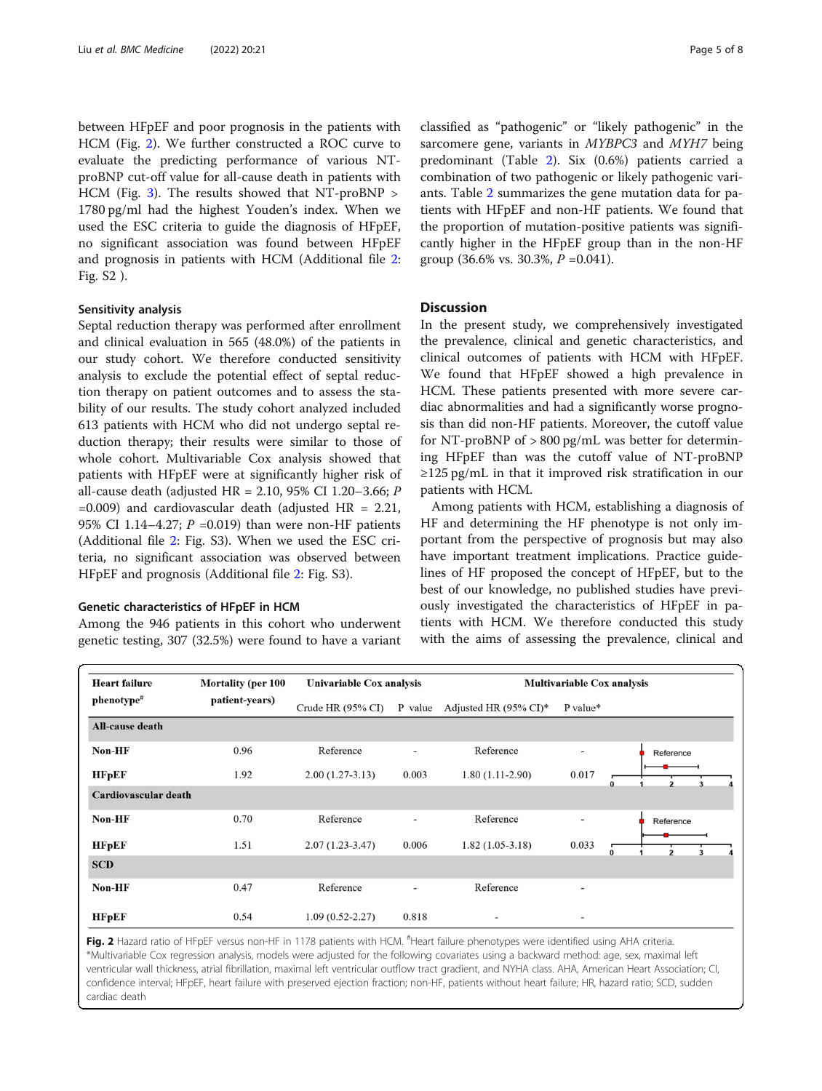between HFpEF and poor prognosis in the patients with HCM (Fig. 2). We further constructed a ROC curve to evaluate the predicting performance of various NTproBNP cut-off value for all-cause death in patients with HCM (Fig. [3](#page-5-0)). The results showed that NT-proBNP > 1780 pg/ml had the highest Youden's index. When we used the ESC criteria to guide the diagnosis of HFpEF, no significant association was found between HFpEF and prognosis in patients with HCM (Additional file [2](#page-7-0): Fig. S2 ).

# Sensitivity analysis

Septal reduction therapy was performed after enrollment and clinical evaluation in 565 (48.0%) of the patients in our study cohort. We therefore conducted sensitivity analysis to exclude the potential effect of septal reduction therapy on patient outcomes and to assess the stability of our results. The study cohort analyzed included 613 patients with HCM who did not undergo septal reduction therapy; their results were similar to those of whole cohort. Multivariable Cox analysis showed that patients with HFpEF were at significantly higher risk of all-cause death (adjusted HR = 2.10, 95% CI 1.20–3.66; P  $=0.009$ ) and cardiovascular death (adjusted HR  $= 2.21$ , 95% CI 1.14–4.27;  $P = 0.019$ ) than were non-HF patients (Additional file [2](#page-7-0): Fig. S3). When we used the ESC criteria, no significant association was observed between HFpEF and prognosis (Additional file [2:](#page-7-0) Fig. S3).

#### Genetic characteristics of HFpEF in HCM

Among the 946 patients in this cohort who underwent genetic testing, 307 (32.5%) were found to have a variant

classified as "pathogenic" or "likely pathogenic" in the sarcomere gene, variants in MYBPC3 and MYH7 being predominant (Table [2\)](#page-5-0). Six (0.6%) patients carried a combination of two pathogenic or likely pathogenic variants. Table [2](#page-5-0) summarizes the gene mutation data for patients with HFpEF and non-HF patients. We found that the proportion of mutation-positive patients was significantly higher in the HFpEF group than in the non-HF group (36.6% vs. 30.3%,  $P = 0.041$ ).

# **Discussion**

In the present study, we comprehensively investigated the prevalence, clinical and genetic characteristics, and clinical outcomes of patients with HCM with HFpEF. We found that HFpEF showed a high prevalence in HCM. These patients presented with more severe cardiac abnormalities and had a significantly worse prognosis than did non-HF patients. Moreover, the cutoff value for NT-proBNP of  $> 800$  pg/mL was better for determining HFpEF than was the cutoff value of NT-proBNP ≥125 pg/mL in that it improved risk stratification in our patients with HCM.

Among patients with HCM, establishing a diagnosis of HF and determining the HF phenotype is not only important from the perspective of prognosis but may also have important treatment implications. Practice guidelines of HF proposed the concept of HFpEF, but to the best of our knowledge, no published studies have previously investigated the characteristics of HFpEF in patients with HCM. We therefore conducted this study with the aims of assessing the prevalence, clinical and

| <b>Heart failure</b>   | <b>Mortality (per 100</b> | Univariable Cox analysis |                          | <b>Multivariable Cox analysis</b> |                          |                         |
|------------------------|---------------------------|--------------------------|--------------------------|-----------------------------------|--------------------------|-------------------------|
| $phenotype$ #          | patient-years)            | Crude HR $(95\%$ CI)     | P value                  | Adjusted HR $(95\% \text{ CI})^*$ | P value*                 |                         |
| <b>All-cause death</b> |                           |                          |                          |                                   |                          |                         |
| Non-HF                 | 0.96                      | Reference                |                          | Reference                         |                          | Reference               |
| <b>HFpEF</b>           | 1.92                      | $2.00(1.27-3.13)$        | 0.003                    | $1.80(1.11-2.90)$                 | 0.017                    | $\Omega$                |
| Cardiovascular death   |                           |                          |                          |                                   |                          |                         |
| Non-HF                 | 0.70                      | Reference                | $\overline{\phantom{a}}$ | Reference                         | $\overline{\phantom{a}}$ | Reference               |
| <b>HFpEF</b>           | 1.51                      | $2.07(1.23-3.47)$        | 0.006                    | $1.82(1.05-3.18)$                 | 0.033                    | 0<br>$\mathfrak z$<br>3 |
| <b>SCD</b>             |                           |                          |                          |                                   |                          |                         |
| Non-HF                 | 0.47                      | Reference                |                          | Reference                         | $\overline{\phantom{a}}$ |                         |
| <b>HFpEF</b>           | 0.54                      | $1.09(0.52 - 2.27)$      | 0.818                    | $\overline{\phantom{a}}$          | $\overline{\phantom{a}}$ |                         |

Fig. 2 Hazard ratio of HFpEF versus non-HF in 1178 patients with HCM. <sup>#</sup>Heart failure phenotypes were identified using AHA criteria. \*Multivariable Cox regression analysis, models were adjusted for the following covariates using a backward method: age, sex, maximal left ventricular wall thickness, atrial fibrillation, maximal left ventricular outflow tract gradient, and NYHA class. AHA, American Heart Association; CI, confidence interval; HFpEF, heart failure with preserved ejection fraction; non-HF, patients without heart failure; HR, hazard ratio; SCD, sudden cardiac death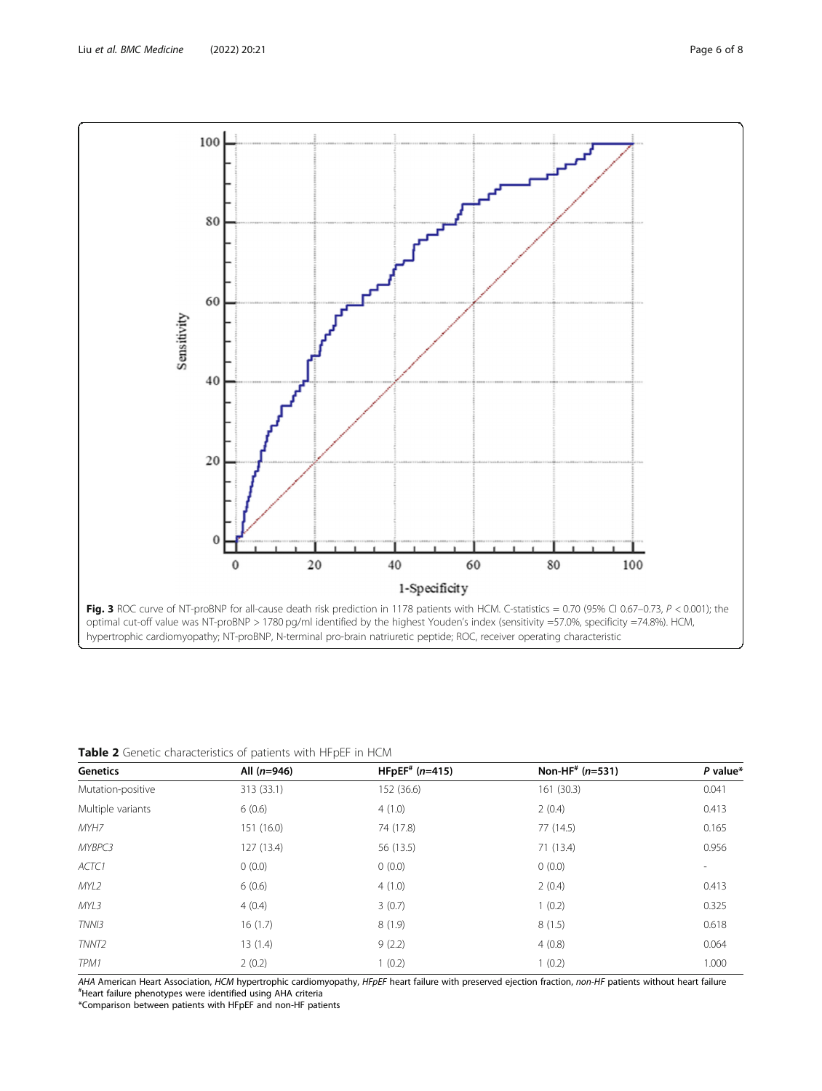<span id="page-5-0"></span>

Table 2 Genetic characteristics of patients with HFpEF in HCM

| Genetics          | All $(n=946)$ | $HFPEF$ <sup>#</sup> (n=415) | Non-HF <sup>#</sup> ( $n=531$ ) | $P$ value*               |
|-------------------|---------------|------------------------------|---------------------------------|--------------------------|
| Mutation-positive | 313 (33.1)    | 152 (36.6)                   | 161 (30.3)                      | 0.041                    |
| Multiple variants | 6(0.6)        | 4(1.0)                       | 2(0.4)                          | 0.413                    |
| MYH7              | 151 (16.0)    | 74 (17.8)                    | 77 (14.5)                       | 0.165                    |
| MYBPC3            | 127(13.4)     | 56 (13.5)                    | 71 (13.4)                       | 0.956                    |
| ACTC1             | 0(0.0)        | 0(0.0)                       | 0(0.0)                          | $\overline{\phantom{a}}$ |
| MYL2              | 6(0.6)        | 4(1.0)                       | 2(0.4)                          | 0.413                    |
| MYL3              | 4(0.4)        | 3(0.7)                       | 1(0.2)                          | 0.325                    |
| TNN <sub>13</sub> | 16(1.7)       | 8(1.9)                       | 8(1.5)                          | 0.618                    |
| TNNT <sub>2</sub> | 13(1.4)       | 9(2.2)                       | 4(0.8)                          | 0.064                    |
| TPM1              | 2(0.2)        | 1(0.2)                       | 1(0.2)                          | 1.000                    |

AHA American Heart Association, HCM hypertrophic cardiomyopathy, HFpEF heart failure with preserved ejection fraction, non-HF patients without heart failure Heart failure phenotypes were identified using AHA criteria

\*Comparison between patients with HFpEF and non-HF patients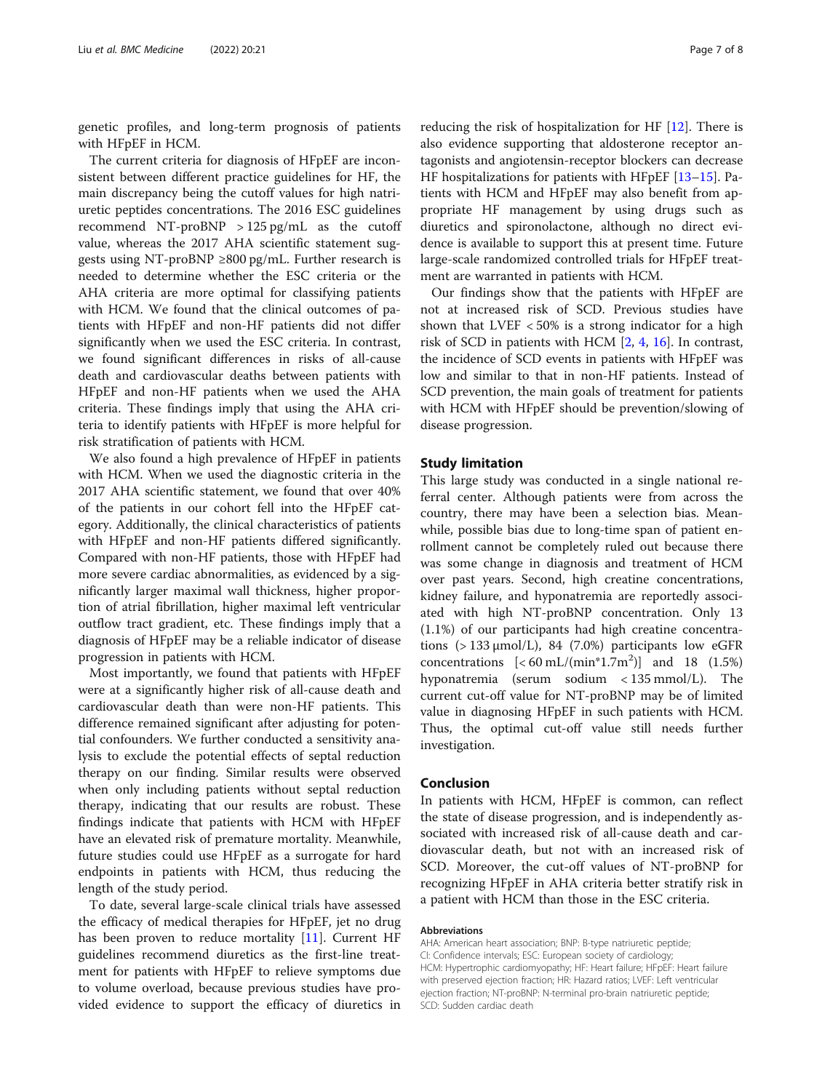genetic profiles, and long-term prognosis of patients with HFpEF in HCM.

The current criteria for diagnosis of HFpEF are inconsistent between different practice guidelines for HF, the main discrepancy being the cutoff values for high natriuretic peptides concentrations. The 2016 ESC guidelines recommend NT-proBNP > 125 pg/mL as the cutoff value, whereas the 2017 AHA scientific statement suggests using NT-proBNP  $\geq$ 800 pg/mL. Further research is needed to determine whether the ESC criteria or the AHA criteria are more optimal for classifying patients with HCM. We found that the clinical outcomes of patients with HFpEF and non-HF patients did not differ significantly when we used the ESC criteria. In contrast, we found significant differences in risks of all-cause death and cardiovascular deaths between patients with HFpEF and non-HF patients when we used the AHA criteria. These findings imply that using the AHA criteria to identify patients with HFpEF is more helpful for risk stratification of patients with HCM.

We also found a high prevalence of HFpEF in patients with HCM. When we used the diagnostic criteria in the 2017 AHA scientific statement, we found that over 40% of the patients in our cohort fell into the HFpEF category. Additionally, the clinical characteristics of patients with HFpEF and non-HF patients differed significantly. Compared with non-HF patients, those with HFpEF had more severe cardiac abnormalities, as evidenced by a significantly larger maximal wall thickness, higher proportion of atrial fibrillation, higher maximal left ventricular outflow tract gradient, etc. These findings imply that a diagnosis of HFpEF may be a reliable indicator of disease progression in patients with HCM.

Most importantly, we found that patients with HFpEF were at a significantly higher risk of all-cause death and cardiovascular death than were non-HF patients. This difference remained significant after adjusting for potential confounders. We further conducted a sensitivity analysis to exclude the potential effects of septal reduction therapy on our finding. Similar results were observed when only including patients without septal reduction therapy, indicating that our results are robust. These findings indicate that patients with HCM with HFpEF have an elevated risk of premature mortality. Meanwhile, future studies could use HFpEF as a surrogate for hard endpoints in patients with HCM, thus reducing the length of the study period.

To date, several large-scale clinical trials have assessed the efficacy of medical therapies for HFpEF, jet no drug has been proven to reduce mortality [\[11](#page-7-0)]. Current HF guidelines recommend diuretics as the first-line treatment for patients with HFpEF to relieve symptoms due to volume overload, because previous studies have provided evidence to support the efficacy of diuretics in

reducing the risk of hospitalization for HF [\[12](#page-7-0)]. There is also evidence supporting that aldosterone receptor antagonists and angiotensin-receptor blockers can decrease HF hospitalizations for patients with HFpEF [\[13](#page-7-0)–[15\]](#page-7-0). Patients with HCM and HFpEF may also benefit from appropriate HF management by using drugs such as diuretics and spironolactone, although no direct evidence is available to support this at present time. Future large-scale randomized controlled trials for HFpEF treatment are warranted in patients with HCM.

Our findings show that the patients with HFpEF are not at increased risk of SCD. Previous studies have shown that LVEF  $<$  50% is a strong indicator for a high risk of SCD in patients with HCM [[2,](#page-7-0) [4,](#page-7-0) [16](#page-7-0)]. In contrast, the incidence of SCD events in patients with HFpEF was low and similar to that in non-HF patients. Instead of SCD prevention, the main goals of treatment for patients with HCM with HFpEF should be prevention/slowing of disease progression.

# Study limitation

This large study was conducted in a single national referral center. Although patients were from across the country, there may have been a selection bias. Meanwhile, possible bias due to long-time span of patient enrollment cannot be completely ruled out because there was some change in diagnosis and treatment of HCM over past years. Second, high creatine concentrations, kidney failure, and hyponatremia are reportedly associated with high NT-proBNP concentration. Only 13 (1.1%) of our participants had high creatine concentrations  $(>133 \mu \text{mol/L})$ , 84 (7.0%) participants low eGFR concentrations  $\left[ < 60 \text{ mL} / (\text{min}^* 1.7 \text{m}^2) \right]$  and 18 (1.5%) hyponatremia (serum sodium < 135 mmol/L). The current cut-off value for NT-proBNP may be of limited value in diagnosing HFpEF in such patients with HCM. Thus, the optimal cut-off value still needs further investigation.

#### Conclusion

In patients with HCM, HFpEF is common, can reflect the state of disease progression, and is independently associated with increased risk of all-cause death and cardiovascular death, but not with an increased risk of SCD. Moreover, the cut-off values of NT-proBNP for recognizing HFpEF in AHA criteria better stratify risk in a patient with HCM than those in the ESC criteria.

#### Abbreviations

AHA: American heart association; BNP: B-type natriuretic peptide; CI: Confidence intervals; ESC: European society of cardiology; HCM: Hypertrophic cardiomyopathy; HF: Heart failure; HFpEF: Heart failure with preserved ejection fraction; HR: Hazard ratios; LVEF: Left ventricular ejection fraction; NT-proBNP: N-terminal pro-brain natriuretic peptide; SCD: Sudden cardiac death